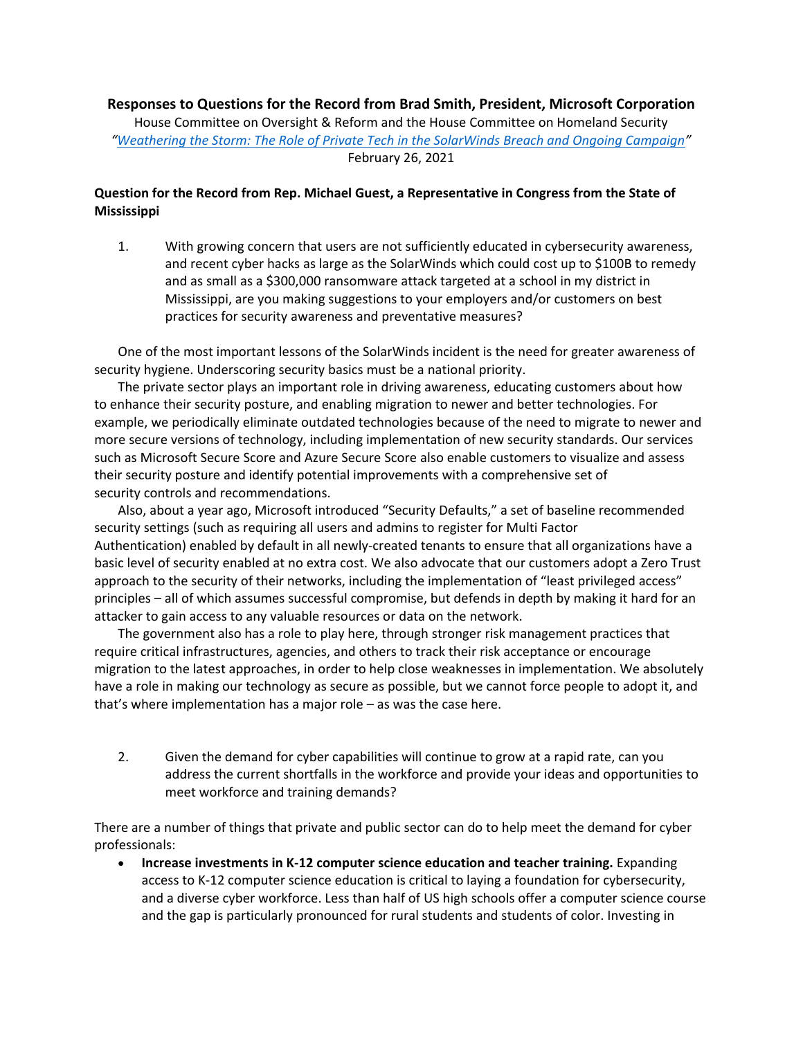**Responses to Questions for the Record from Brad Smith, President, Microsoft Corporation** House Committee on Oversight & Reform and the House Committee on Homeland Security *"[Weathering the Storm: The Role of Private Tech in the SolarWinds Breach and Ongoing Campaign](https://oversight.house.gov/legislation/hearings/weathering-the-storm-the-role-of-private-tech-in-the-solarwinds-breach-and)"* February 26, 2021

## **Question for the Record from Rep. Michael Guest, a Representative in Congress from the State of Mississippi**

1. With growing concern that users are not sufficiently educated in cybersecurity awareness, and recent cyber hacks as large as the SolarWinds which could cost up to \$100B to remedy and as small as a \$300,000 ransomware attack targeted at a school in my district in Mississippi, are you making suggestions to your employers and/or customers on best practices for security awareness and preventative measures?

One of the most important lessons of the SolarWinds incident is the need for greater awareness of security hygiene. Underscoring security basics must be a national priority.

The private sector plays an important role in driving awareness, educating customers about how to enhance their security posture, and enabling migration to newer and better technologies. For example, we periodically eliminate outdated technologies because of the need to migrate to newer and more secure versions of technology, including implementation of new security standards. Our services such as Microsoft Secure Score and Azure Secure Score also enable customers to visualize and assess their security posture and identify potential improvements with a comprehensive set of security controls and recommendations.

Also, about a year ago, Microsoft introduced "Security Defaults," a set of baseline recommended security settings (such as requiring all users and admins to register for Multi Factor Authentication) enabled by default in all newly-created tenants to ensure that all organizations have a basic level of security enabled at no extra cost. We also advocate that our customers adopt a Zero Trust approach to the security of their networks, including the implementation of "least privileged access" principles – all of which assumes successful compromise, but defends in depth by making it hard for an attacker to gain access to any valuable resources or data on the network.

The government also has a role to play here, through stronger risk management practices that require critical infrastructures, agencies, and others to track their risk acceptance or encourage migration to the latest approaches, in order to help close weaknesses in implementation. We absolutely have a role in making our technology as secure as possible, but we cannot force people to adopt it, and that's where implementation has a major role – as was the case here.

2. Given the demand for cyber capabilities will continue to grow at a rapid rate, can you address the current shortfalls in the workforce and provide your ideas and opportunities to meet workforce and training demands?

There are a number of things that private and public sector can do to help meet the demand for cyber professionals:

• **Increase investments in K-12 computer science education and teacher training.** Expanding access to K-12 computer science education is critical to laying a foundation for cybersecurity, and a diverse cyber workforce. Less than half of US high schools offer a computer science course and the gap is particularly pronounced for rural students and students of color. Investing in